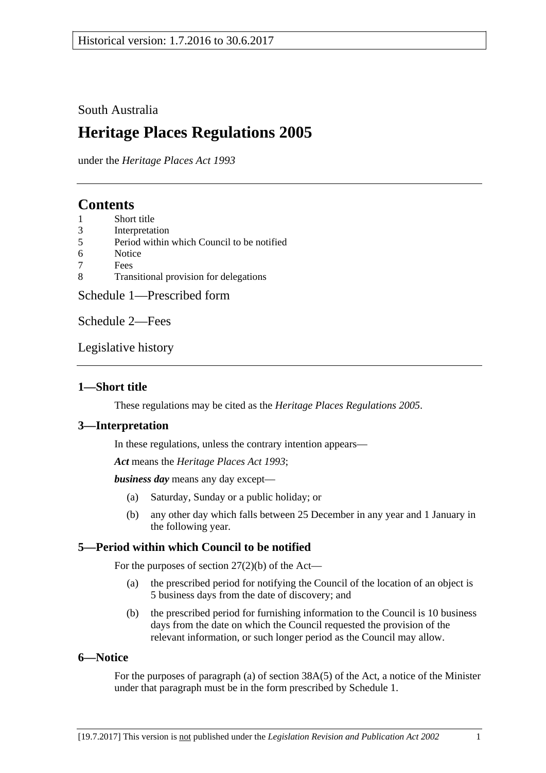# South Australia

# **Heritage Places Regulations 2005**

under the *Heritage Places Act 1993*

# **Contents**

- 1 [Short title](#page-0-0)
- 3 [Interpretation](#page-0-1)
- 5 [Period within which Council to be notified](#page-0-2)
- 6 [Notice](#page-0-3)
- 7 [Fees](#page-1-0)
- 8 [Transitional provision for delegations](#page-1-1)

[Schedule 1—Prescribed form](#page-2-0)

[Schedule 2—Fees](#page-4-0)

[Legislative history](#page-6-0)

# <span id="page-0-0"></span>**1—Short title**

These regulations may be cited as the *Heritage Places Regulations 2005*.

# <span id="page-0-1"></span>**3—Interpretation**

In these regulations, unless the contrary intention appears—

*Act* means the *[Heritage Places Act](http://www.legislation.sa.gov.au/index.aspx?action=legref&type=act&legtitle=Heritage%20Places%20Act%201993) 1993*;

*business day* means any day except—

- (a) Saturday, Sunday or a public holiday; or
- (b) any other day which falls between 25 December in any year and 1 January in the following year.

# <span id="page-0-2"></span>**5—Period within which Council to be notified**

For the purposes of section 27(2)(b) of the Act—

- (a) the prescribed period for notifying the Council of the location of an object is 5 business days from the date of discovery; and
- (b) the prescribed period for furnishing information to the Council is 10 business days from the date on which the Council requested the provision of the relevant information, or such longer period as the Council may allow.

# <span id="page-0-3"></span>**6—Notice**

For the purposes of paragraph (a) of section 38A(5) of the Act, a notice of the Minister under that paragraph must be in the form prescribed by [Schedule 1.](#page-2-0)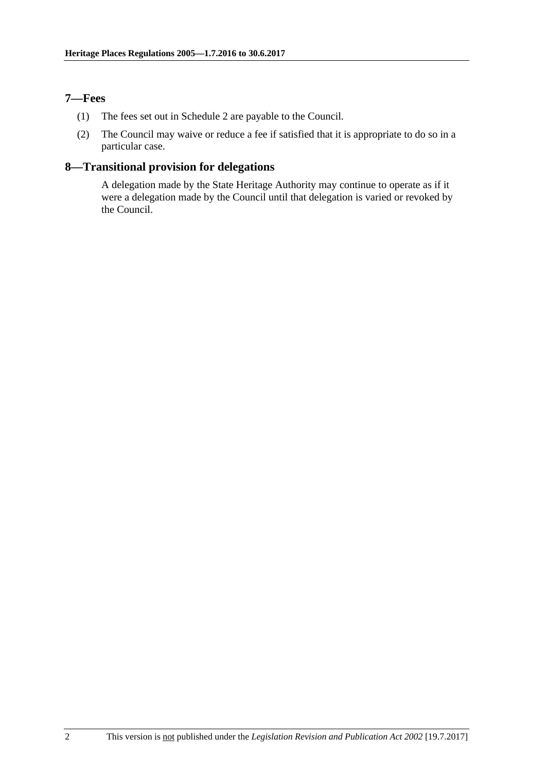## <span id="page-1-0"></span>**7—Fees**

- (1) The fees set out in [Schedule 2](#page-4-0) are payable to the Council.
- (2) The Council may waive or reduce a fee if satisfied that it is appropriate to do so in a particular case.

# <span id="page-1-1"></span>**8—Transitional provision for delegations**

A delegation made by the State Heritage Authority may continue to operate as if it were a delegation made by the Council until that delegation is varied or revoked by the Council.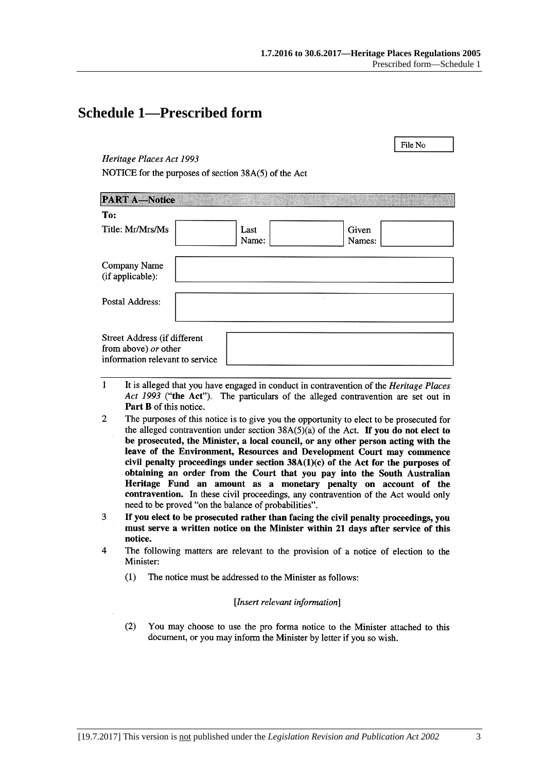File No

# <span id="page-2-0"></span>**Schedule 1—Prescribed form**

## Heritage Places Act 1993

NOTICE for the purposes of section 38A(5) of the Act

| <b>PART A-Notice</b>                                                                    |               |                 |  |
|-----------------------------------------------------------------------------------------|---------------|-----------------|--|
| To:                                                                                     |               |                 |  |
| Title: Mr/Mrs/Ms                                                                        | Last<br>Name: | Given<br>Names: |  |
| Company Name<br>(if applicable):                                                        |               |                 |  |
| Postal Address:                                                                         |               |                 |  |
| Street Address (if different<br>from above) or other<br>information relevant to service |               |                 |  |

- $\mathbf{1}$ It is alleged that you have engaged in conduct in contravention of the *Heritage Places* Act 1993 ("the Act"). The particulars of the alleged contravention are set out in Part B of this notice.
- $\overline{2}$ The purposes of this notice is to give you the opportunity to elect to be prosecuted for the alleged contravention under section  $38A(5)(a)$  of the Act. If you do not elect to be prosecuted, the Minister, a local council, or any other person acting with the leave of the Environment, Resources and Development Court may commence civil penalty proceedings under section  $38A(1)(c)$  of the Act for the purposes of obtaining an order from the Court that you pay into the South Australian Heritage Fund an amount as a monetary penalty on account of the contravention. In these civil proceedings, any contravention of the Act would only need to be proved "on the balance of probabilities".
- 3 If you elect to be prosecuted rather than facing the civil penalty proceedings, you must serve a written notice on the Minister within 21 days after service of this notice.
- $\overline{\mathbf{4}}$ The following matters are relevant to the provision of a notice of election to the Minister:
	- $(1)$ The notice must be addressed to the Minister as follows:

### [Insert relevant information]

 $(2)$ You may choose to use the pro forma notice to the Minister attached to this document, or you may inform the Minister by letter if you so wish.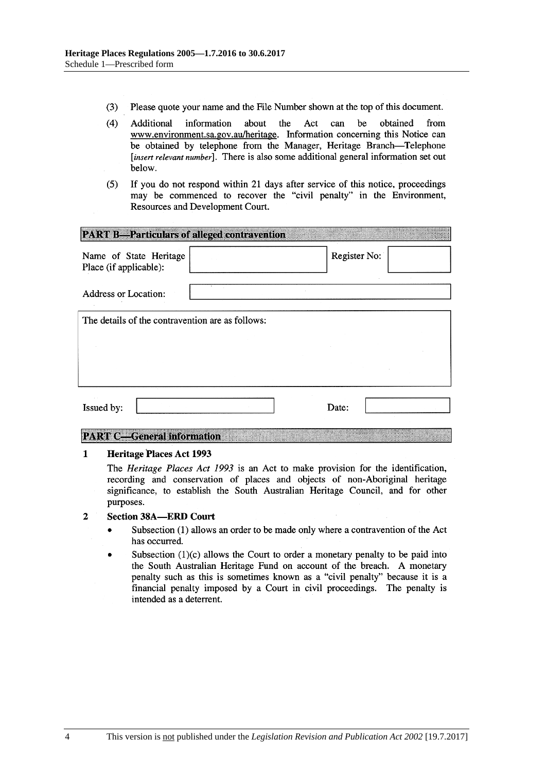- $(3)$ Please quote your name and the File Number shown at the top of this document.
- $(4)$ be Additional information about the Act can obtained from www.environment.sa.gov.au/heritage. Information concerning this Notice can be obtained by telephone from the Manager, Heritage Branch-Telephone [insert relevant number]. There is also some additional general information set out below.
- If you do not respond within 21 days after service of this notice, proceedings  $(5)$ may be commenced to recover the "civil penalty" in the Environment, Resources and Development Court.

| <b>PART B-Particulars of alleged contravention</b> |              |
|----------------------------------------------------|--------------|
| Name of State Heritage<br>Place (if applicable):   | Register No: |
| <b>Address or Location:</b>                        |              |
| The details of the contravention are as follows:   |              |
|                                                    |              |
|                                                    |              |
| Issued by:                                         | Date:        |

## **PART C-General information**

#### $\mathbf{1}$ **Heritage Places Act 1993**

The *Heritage Places Act 1993* is an Act to make provision for the identification, recording and conservation of places and objects of non-Aboriginal heritage significance, to establish the South Australian Heritage Council, and for other purposes.

#### $\overline{2}$ **Section 38A-ERD Court**

- Subsection (1) allows an order to be made only where a contravention of the Act  $\bullet$ has occurred.
- Subsection  $(1)(c)$  allows the Court to order a monetary penalty to be paid into the South Australian Heritage Fund on account of the breach. A monetary penalty such as this is sometimes known as a "civil penalty" because it is a financial penalty imposed by a Court in civil proceedings. The penalty is intended as a deterrent.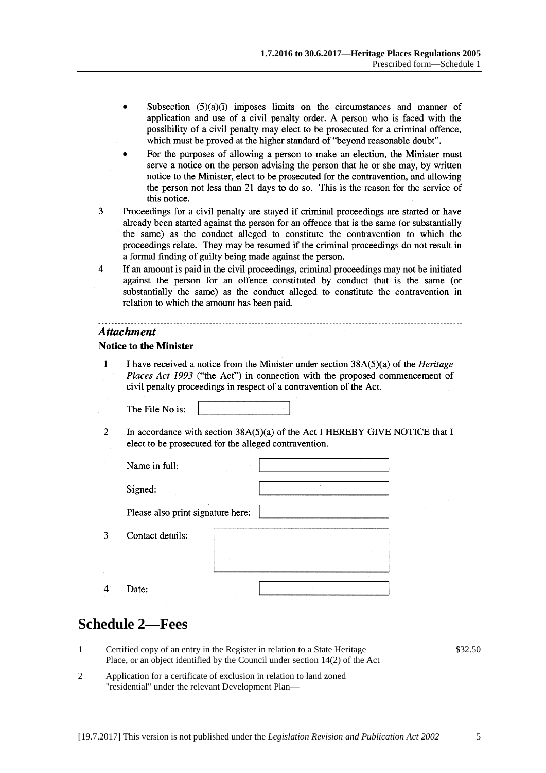- Subsection  $(5)(a)(i)$  imposes limits on the circumstances and manner of application and use of a civil penalty order. A person who is faced with the possibility of a civil penalty may elect to be prosecuted for a criminal offence, which must be proved at the higher standard of "beyond reasonable doubt".
- For the purposes of allowing a person to make an election, the Minister must serve a notice on the person advising the person that he or she may, by written notice to the Minister, elect to be prosecuted for the contravention, and allowing the person not less than 21 days to do so. This is the reason for the service of this notice.
- $\overline{3}$ Proceedings for a civil penalty are stayed if criminal proceedings are started or have already been started against the person for an offence that is the same (or substantially the same) as the conduct alleged to constitute the contravention to which the proceedings relate. They may be resumed if the criminal proceedings do not result in a formal finding of guilty being made against the person.
- $\overline{4}$ If an amount is paid in the civil proceedings, criminal proceedings may not be initiated against the person for an offence constituted by conduct that is the same (or substantially the same) as the conduct alleged to constitute the contravention in relation to which the amount has been paid.

### **Attachment**

## **Notice to the Minister**

 $\mathbf{1}$ I have received a notice from the Minister under section  $38A(5)(a)$  of the *Heritage* Places Act 1993 ("the Act") in connection with the proposed commencement of civil penalty proceedings in respect of a contravention of the Act.

The File No is:

 $\overline{2}$ In accordance with section  $38A(5)(a)$  of the Act I HEREBY GIVE NOTICE that I elect to be prosecuted for the alleged contravention.

| Name in full:                     |  |
|-----------------------------------|--|
| Signed:                           |  |
| Please also print signature here: |  |
| Contact details:                  |  |
|                                   |  |
| Date:                             |  |

# <span id="page-4-0"></span>**Schedule 2—Fees**

3

 $\overline{4}$ 

- 1 Certified copy of an entry in the Register in relation to a State Heritage Place, or an object identified by the Council under section 14(2) of the Act
- 2 Application for a certificate of exclusion in relation to land zoned "residential" under the relevant Development Plan—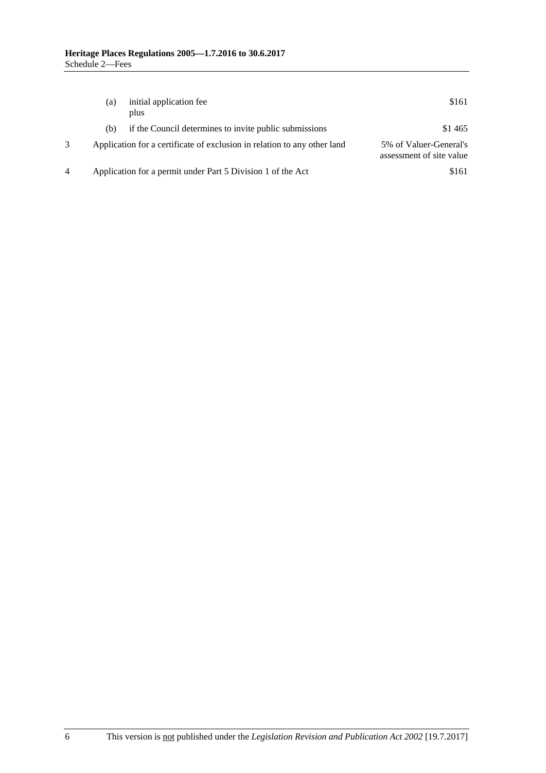| (a) | initial application fee<br>plus                                          | \$161                                              |
|-----|--------------------------------------------------------------------------|----------------------------------------------------|
| (b) | if the Council determines to invite public submissions                   | \$1465                                             |
|     | Application for a certificate of exclusion in relation to any other land | 5% of Valuer-General's<br>assessment of site value |
|     | Application for a permit under Part 5 Division 1 of the Act              | \$161                                              |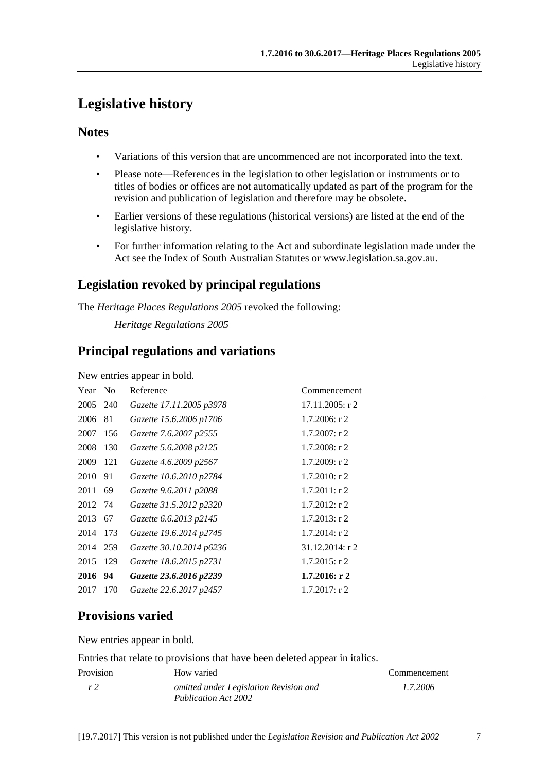# <span id="page-6-0"></span>**Legislative history**

# **Notes**

- Variations of this version that are uncommenced are not incorporated into the text.
- Please note—References in the legislation to other legislation or instruments or to titles of bodies or offices are not automatically updated as part of the program for the revision and publication of legislation and therefore may be obsolete.
- Earlier versions of these regulations (historical versions) are listed at the end of the legislative history.
- For further information relating to the Act and subordinate legislation made under the Act see the Index of South Australian Statutes or www.legislation.sa.gov.au.

# **Legislation revoked by principal regulations**

The *Heritage Places Regulations 2005* revoked the following:

*Heritage Regulations 2005*

# **Principal regulations and variations**

New entries appear in bold.

| Year No  |     | Reference                | Commencement     |
|----------|-----|--------------------------|------------------|
| 2005 240 |     | Gazette 17.11.2005 p3978 | 17.11.2005: r 2  |
| 2006 81  |     | Gazette 15.6.2006 p1706  | $1.7.2006$ : r 2 |
| 2007 156 |     | Gazette 7.6.2007 p2555   | $1.7.2007$ : r 2 |
| 2008     | 130 | Gazette 5.6.2008 p2125   | $1.7.2008$ : r 2 |
| 2009     | 121 | Gazette 4.6.2009 p2567   | 1.7.2009: r2     |
| 2010 91  |     | Gazette 10.6.2010 p2784  | $1.7.2010$ : r 2 |
| 2011 69  |     | Gazette 9.6.2011 p2088   | $1.7.2011:$ r 2  |
| 2012 74  |     | Gazette 31.5.2012 p2320  | $1.7.2012$ : r 2 |
| 2013 67  |     | Gazette 6.6.2013 p2145   | $1.7.2013$ : r 2 |
| 2014     | 173 | Gazette 19.6.2014 p2745  | $1.7.2014$ : r 2 |
| 2014 259 |     | Gazette 30.10.2014 p6236 | 31.12.2014: r 2  |
| 2015     | 129 | Gazette 18.6.2015 p2731  | $1.7.2015$ : r 2 |
| 2016 94  |     | Gazette 23.6.2016 p2239  | $1.7.2016:$ r 2  |
| 2017     | 170 | Gazette 22.6.2017 p2457  | $1.7.2017$ : r 2 |

# **Provisions varied**

New entries appear in bold.

Entries that relate to provisions that have been deleted appear in italics.

| Provision | How varied                                                            | Commencement |
|-----------|-----------------------------------------------------------------------|--------------|
| r 2       | omitted under Legislation Revision and<br><b>Publication Act 2002</b> | 1.7.2006     |